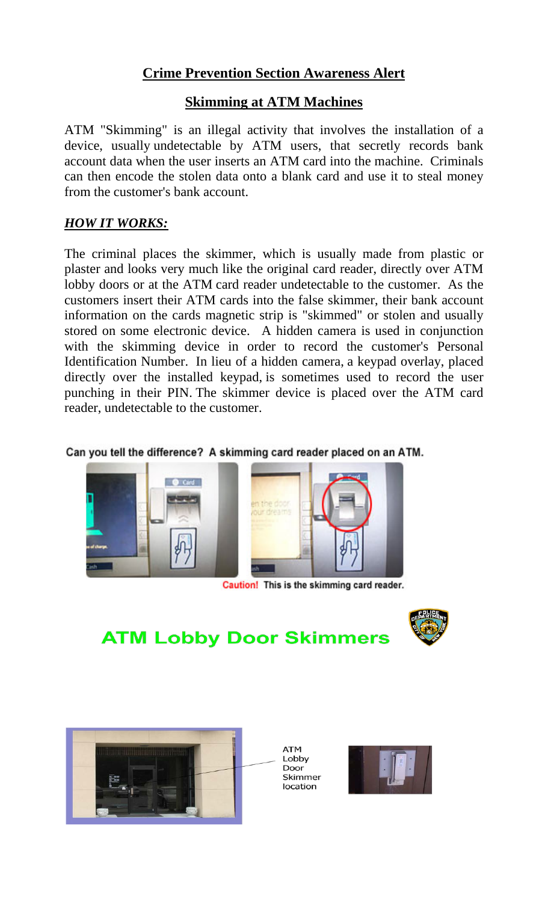# **Crime Prevention Section Awareness Alert**

## **Skimming at ATM Machines**

ATM "Skimming" is an illegal activity that involves the installation of a device, usually undetectable by ATM users, that secretly records bank account data when the user inserts an ATM card into the machine. Criminals can then encode the stolen data onto a blank card and use it to steal money from the customer's bank account.

### *HOW IT WORKS:*

The criminal places the skimmer, which is usually made from plastic or plaster and looks very much like the original card reader, directly over ATM lobby doors or at the ATM card reader undetectable to the customer. As the customers insert their ATM cards into the false skimmer, their bank account information on the cards magnetic strip is "skimmed" or stolen and usually stored on some electronic device. A hidden camera is used in conjunction with the skimming device in order to record the customer's Personal Identification Number. In lieu of a hidden camera, a keypad overlay, placed directly over the installed keypad, is sometimes used to record the user punching in their PIN. The skimmer device is placed over the ATM card reader, undetectable to the customer.

#### Can you tell the difference? A skimming card reader placed on an ATM.



Caution! This is the skimming card reader.



# **ATM Lobby Door Skimmers**